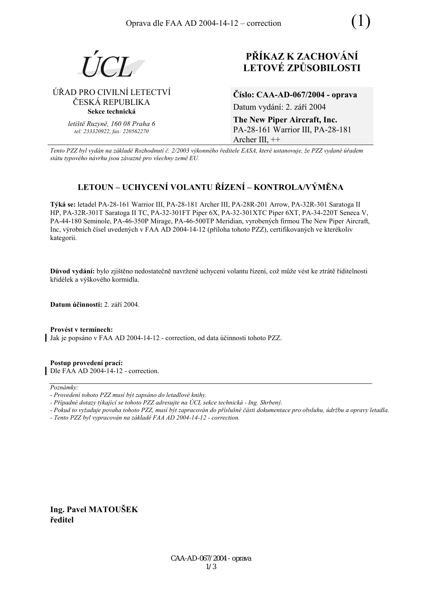

# ÚŘAD PRO CIVILNÍ LETECTVÍ ČESKÁ REPUBLIKA Sekce technická

letiště Ruzyně, 160 08 Praha 6 tel: 233320922. fax: 220562270

# PŘÍKAZ K ZACHOVÁNÍ **LETOVÉ ZPŮSOBILOSTI**

Číslo: CAA-AD-067/2004 - oprava Datum vydání: 2. září 2004

The New Piper Aircraft, Inc. PA-28-161 Warrior III, PA-28-181 Archer III,  $++$ 

Tento PZZ byl vydán na základě Rozhodnutí č. 2/2003 výkonného ředitele EASA, které ustanovuje, že PZZ vydané úřadem státu typového návrhu jsou závazné pro všechny země EU.

# LETOUN – UCHYCENÍ VOLANTU ŘÍZENÍ – KONTROLA/VÝMĚNA

Týká se: letadel PA-28-161 Warrior III, PA-28-181 Archer III, PA-28R-201 Arrow, PA-32R-301 Saratoga II HP, PA-32R-301T Saratoga II TC, PA-32-301FT Piper 6X, PA-32-301XTC Piper 6XT, PA-34-220T Seneca V, PA-44-180 Seminole, PA-46-350P Mirage, PA-46-500TP Meridian, vyrobených firmou The New Piper Aircraft, Inc, výrobních čísel uvedených v FAA AD 2004-14-12 (příloha tohoto PZZ), certifikovaných ve kterékoliv kategorii.

Důvod vydání: bylo zjištěno nedostatečně navržené uchycení volantu řízení, což může vést ke ztrátě řiditelnosti křidélek a výškového kormidla.

Datum účinnosti: 2. září 2004.

Provést v termínech: Jak je popsáno v FAA AD 2004-14-12 - correction, od data účinnosti tohoto PZZ.

Postup provedení prací: Dle FAA AD 2004-14-12 - correction.

Poznámky:

- Případné dotazy týkající se tohoto PZZ adresujte na ÚCL sekce technická Ing. Shrbený.
- Pokud to vyžaduje povaha tohoto PZZ, musí být zapracován do příslušné části dokumentace pro obsluhu, údržbu a opravy letadla.
- Tento PZZ byl vypracován na základě FAA AD 2004-14-12 correction.

Ing. Pavel MATOUŠEK ředitel

<sup>-</sup> Provedení tohoto PZZ musí být zapsáno do letadlové knihy.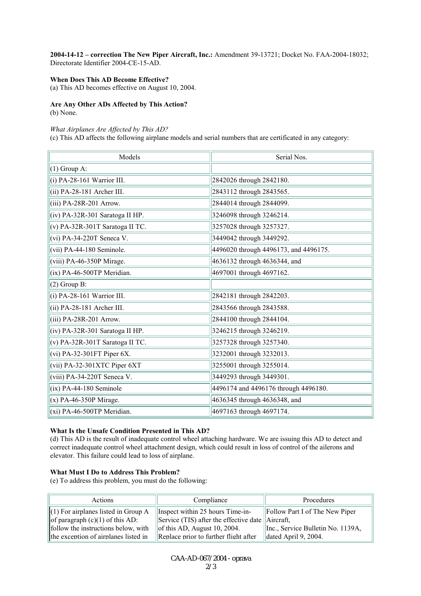2004-14-12 - correction The New Piper Aircraft, Inc.: Amendment 39-13721; Docket No. FAA-2004-18032; Directorate Identifier 2004-CE-15-AD.

## **When Does This AD Become Effective?**

(a) This AD becomes effective on August 10, 2004.

# **Are Any Other ADs Affected by This Action?**

(b) None.

#### *What Airplanes Are Affected by This AD?*

(c) This AD affects the following airplane models and serial numbers that are certificated in any category:

| Models                            | Serial Nos.                           |
|-----------------------------------|---------------------------------------|
| $(1)$ Group A:                    |                                       |
| $(i)$ PA-28-161 Warrior III.      | 2842026 through 2842180.              |
| $(ii) PA-28-181$ Archer III.      | 2843112 through 2843565.              |
| (iii) PA-28R-201 Arrow.           | 2844014 through 2844099.              |
| $(iv)$ PA-32R-301 Saratoga II HP. | 3246098 through 3246214.              |
| $(v)$ PA-32R-301T Saratoga II TC. | 3257028 through 3257327.              |
| $(vi)$ PA-34-220T Seneca V.       | 3449042 through 3449292.              |
| $(vii)$ PA-44-180 Seminole.       | 4496020 through 4496173, and 4496175. |
| (viii) PA-46-350P Mirage.         | 4636132 through 4636344, and          |
| (ix) PA-46-500TP Meridian.        | 4697001 through 4697162.              |
| $(2)$ Group B:                    |                                       |
| (i) PA-28-161 Warrior III.        | 2842181 through 2842203.              |
| $(iii)$ PA-28-181 Archer III.     | 2843566 through 2843588.              |
| $(iii)$ PA-28R-201 Arrow.         | 2844100 through 2844104.              |
| $(iv)$ PA-32R-301 Saratoga II HP. | 3246215 through 3246219.              |
| $(v)$ PA-32R-301T Saratoga II TC. | 3257328 through 3257340.              |
| (vi) PA-32-301FT Piper $6X$ .     | 3232001 through 3232013.              |
| $(vii)$ PA-32-301XTC Piper 6XT    | 3255001 through 3255014.              |
| (viii) PA-34-220T Seneca V.       | 3449293 through 3449301.              |
| $(ix)$ PA-44-180 Seminole         | 4496174 and 4496176 through 4496180.  |
| $(x)$ PA-46-350P Mirage.          | 4636345 through 4636348, and          |
| $(xi)$ PA-46-500TP Meridian.      | 4697163 through 4697174.              |

## **What Is the Unsafe Condition Presented in This AD?**

(d) This AD is the result of inadequate control wheel attaching hardware. We are issuing this AD to detect and correct inadequate control wheel attachment design, which could result in loss of control of the ailerons and elevator. This failure could lead to loss of airplane.

#### **What Must I Do to Address This Problem?**

(e) To address this problem, you must do the following:

| Actions                               | Compliance                                                               | Procedures                            |
|---------------------------------------|--------------------------------------------------------------------------|---------------------------------------|
| $(1)$ For airplanes listed in Group A | $\parallel$ Inspect within 25 hours Time-in-                             | <b>Follow Part I of The New Piper</b> |
| of paragraph $(c)(1)$ of this AD:     | $\parallel$ Service (TIS) after the effective date $\parallel$ Aircraft, |                                       |
| follow the instructions below, with   | $\left\  \right\ $ of this AD, August 10, 2004.                          | Inc., Service Bulletin No. 1139A,     |
| the exception of airplanes listed in  | Replace prior to further flight after                                    | $\vert$ dated April 9, 2004.          |